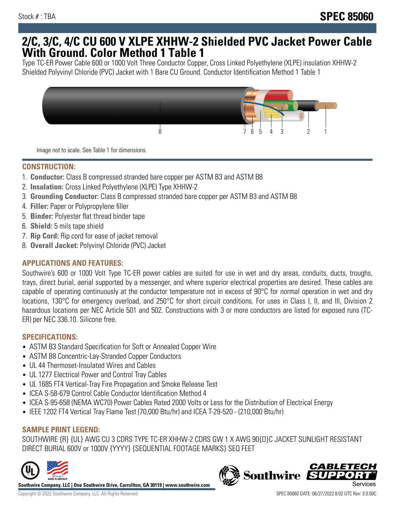## **2/C, 3/C, 4/C CU 600 V XLPE XHHW-2 Shielded PVC Jacket Power Cable With Ground. Color Method 1 Table 1**

Type TC-ER Power Cable 600 or 1000 Volt Three Conductor Copper, Cross Linked Polyethylene (XLPE) insulation XHHW-2 Shielded Polyvinyl Chloride (PVC) Jacket with 1 Bare CU Ground. Conductor Identification Method 1 Table 1



Image not to scale. See Table 1 for dimensions.

#### **CONSTRUCTION:**

- 1. **Conductor:** Class B compressed stranded bare copper per ASTM B3 and ASTM B8
- 2. **Insulation:** Cross Linked Polyethylene (XLPE) Type XHHW-2
- 3. **Grounding Conductor:** Class B compressed stranded bare copper per ASTM B3 and ASTM B8
- 4. **Filler:** Paper or Polypropylene filler
- 5. **Binder:** Polyester flat thread binder tape
- 6. **Shield:** 5 mils tape shield
- 7. **Rip Cord:** Rip cord for ease of jacket removal
- 8. **Overall Jacket:** Polyvinyl Chloride (PVC) Jacket

## **APPLICATIONS AND FEATURES:**

Southwire's 600 or 1000 Volt Type TC-ER power cables are suited for use in wet and dry areas, conduits, ducts, troughs, trays, direct burial, aerial supported by a messenger, and where superior electrical properties are desired. These cables are capable of operating continuously at the conductor temperature not in excess of 90°C for normal operation in wet and dry locations, 130°C for emergency overload, and 250°C for short circuit conditions. For uses in Class I, II, and III, Division 2 hazardous locations per NEC Article 501 and 502. Constructions with 3 or more conductors are listed for exposed runs (TC-ER) per NEC 336.10. Silicone free.

#### **SPECIFICATIONS:**

- ASTM B3 Standard Specification for Soft or Annealed Copper Wire
- ASTM B8 Concentric-Lay-Stranded Copper Conductors
- UL 44 Thermoset-Insulated Wires and Cables
- UL 1277 Electrical Power and Control Tray Cables
- UL 1685 FT4 Vertical-Tray Fire Propagation and Smoke Release Test
- ICEA S-58-679 Control Cable Conductor Identification Method 4
- ICEA S-95-658 (NEMA WC70) Power Cables Rated 2000 Volts or Less for the Distribution of Electrical Energy
- IEEE 1202 FT4 Vertical Tray Flame Test (70,000 Btu/hr) and ICEA T-29-520 (210,000 Btu/hr)

## **SAMPLE PRINT LEGEND:**

SOUTHWIRE {R} {UL} AWG CU 3 CDRS TYPE TC-ER XHHW-2 CDRS GW 1 X AWG 90{D}C JACKET SUNLIGHT RESISTANT DIRECT BURIAL 600V or 1000V {YYYY} {SEQUENTIAL FOOTAGE MARKS} SEQ FEET



**Southwire Company, LLC | One Southwire Drive, Carrollton, GA 30119 | www.southwire.com**